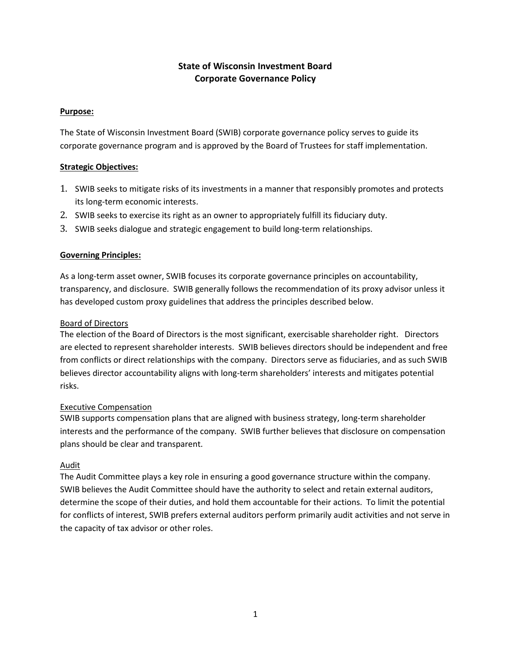# State of Wisconsin Investment Board Corporate Governance Policy

## Purpose:

The State of Wisconsin Investment Board (SWIB) corporate governance policy serves to guide its corporate governance program and is approved by the Board of Trustees for staff implementation.

## Strategic Objectives:

- 1. SWIB seeks to mitigate risks of its investments in a manner that responsibly promotes and protects its long-term economic interests.
- 2. SWIB seeks to exercise its right as an owner to appropriately fulfill its fiduciary duty.
- 3. SWIB seeks dialogue and strategic engagement to build long-term relationships.

## Governing Principles:

As a long-term asset owner, SWIB focuses its corporate governance principles on accountability, transparency, and disclosure. SWIB generally follows the recommendation of its proxy advisor unless it has developed custom proxy guidelines that address the principles described below.

#### Board of Directors

The election of the Board of Directors is the most significant, exercisable shareholder right. Directors are elected to represent shareholder interests. SWIB believes directors should be independent and free from conflicts or direct relationships with the company. Directors serve as fiduciaries, and as such SWIB believes director accountability aligns with long-term shareholders' interests and mitigates potential risks.

#### Executive Compensation

SWIB supports compensation plans that are aligned with business strategy, long-term shareholder interests and the performance of the company. SWIB further believes that disclosure on compensation plans should be clear and transparent.

#### Audit

The Audit Committee plays a key role in ensuring a good governance structure within the company. SWIB believes the Audit Committee should have the authority to select and retain external auditors, determine the scope of their duties, and hold them accountable for their actions. To limit the potential for conflicts of interest, SWIB prefers external auditors perform primarily audit activities and not serve in the capacity of tax advisor or other roles.